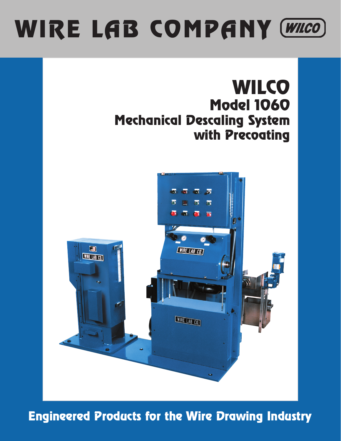# WIRE LAB COMPANY (WILCO)



Engineered Products for the Wire Drawing Industry